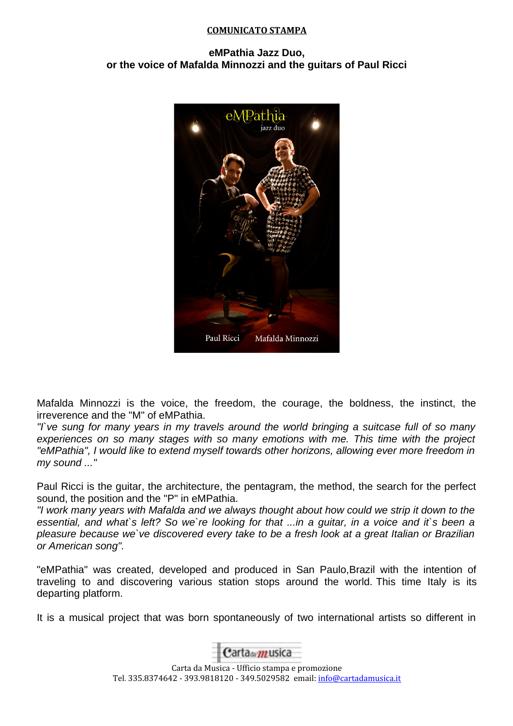## **COMUNICATO STAMPA**

## **eMPathia Jazz Duo, or the voice of Mafalda Minnozzi and the guitars of Paul Ricci**



Mafalda Minnozzi is the voice, the freedom, the courage, the boldness, the instinct, the irreverence and the "M" of eMPathia.

"I`ve sung for many years in my travels around the world bringing a suitcase full of so many experiences on so many stages with so many emotions with me. This time with the project "eMPathia", I would like to extend myself towards other horizons, allowing ever more freedom in my sound ..."

Paul Ricci is the guitar, the architecture, the pentagram, the method, the search for the perfect sound, the position and the "P" in eMPathia.

"I work many years with Mafalda and we always thought about how could we strip it down to the essential, and what's left? So we're looking for that ...in a quitar, in a voice and it's been a pleasure because we`ve discovered every take to be a fresh look at a great Italian or Brazilian or American song".

"eMPathia" was created, developed and produced in San Paulo,Brazil with the intention of traveling to and discovering various station stops around the world. This time Italy is its departing platform.

It is a musical project that was born spontaneously of two international artists so different in



Carta da Musica - Ufficio stampa e promozione Tel. 335.8374642 - 393.9818120 - 349.5029582 email: [info@cartadamusica.it](mailto:info@cartadamusica.it)